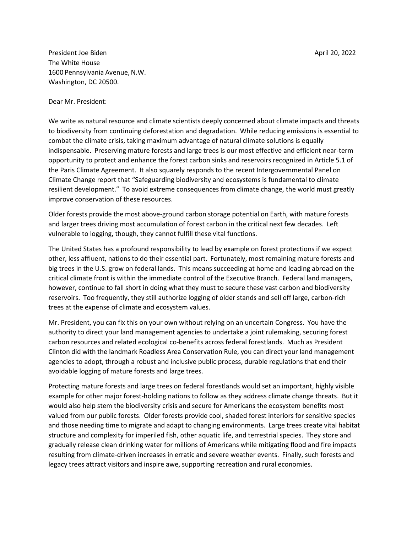President Joe Biden April 20, 2022 and the Biden April 20, 2022 and the April 20, 2022 and the April 20, 2022 The White House 1600 Pennsylvania Avenue, N.W. Washington, DC 20500.

Dear Mr. President:

We write as natural resource and climate scientists deeply concerned about climate impacts and threats to biodiversity from continuing deforestation and degradation. While reducing emissions is essential to combat the climate crisis, taking maximum advantage of natural climate solutions is equally indispensable. Preserving mature forests and large trees is our most effective and efficient near-term opportunity to protect and enhance the forest carbon sinks and reservoirs recognized in Article 5.1 of the Paris Climate Agreement. It also squarely responds to the recent Intergovernmental Panel on Climate Change report that "Safeguarding biodiversity and ecosystems is fundamental to climate resilient development." To avoid extreme consequences from climate change, the world must greatly improve conservation of these resources.

Older forests provide the most above-ground carbon storage potential on Earth, with mature forests and larger trees driving most accumulation of forest carbon in the critical next few decades. Left vulnerable to logging, though, they cannot fulfill these vital functions.

The United States has a profound responsibility to lead by example on forest protections if we expect other, less affluent, nations to do their essential part. Fortunately, most remaining mature forests and big trees in the U.S. grow on federal lands. This means succeeding at home and leading abroad on the critical climate front is within the immediate control of the Executive Branch. Federal land managers, however, continue to fall short in doing what they must to secure these vast carbon and biodiversity reservoirs. Too frequently, they still authorize logging of older stands and sell off large, carbon-rich trees at the expense of climate and ecosystem values.

Mr. President, you can fix this on your own without relying on an uncertain Congress. You have the authority to direct your land management agencies to undertake a joint rulemaking, securing forest carbon resources and related ecological co-benefits across federal forestlands. Much as President Clinton did with the landmark Roadless Area Conservation Rule, you can direct your land management agencies to adopt, through a robust and inclusive public process, durable regulations that end their avoidable logging of mature forests and large trees.

Protecting mature forests and large trees on federal forestlands would set an important, highly visible example for other major forest-holding nations to follow as they address climate change threats. But it would also help stem the biodiversity crisis and secure for Americans the ecosystem benefits most valued from our public forests. Older forests provide cool, shaded forest interiors for sensitive species and those needing time to migrate and adapt to changing environments. Large trees create vital habitat structure and complexity for imperiled fish, other aquatic life, and terrestrial species. They store and gradually release clean drinking water for millions of Americans while mitigating flood and fire impacts resulting from climate-driven increases in erratic and severe weather events. Finally, such forests and legacy trees attract visitors and inspire awe, supporting recreation and rural economies.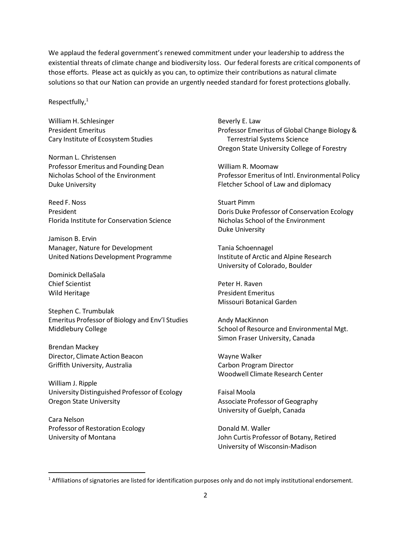We applaud the federal government's renewed commitment under your leadership to address the existential threats of climate change and biodiversity loss. Our federal forests are critical components of those efforts. Please act as quickly as you can, to optimize their contributions as natural climate solutions so that our Nation can provide an urgently needed standard for forest protections globally.

Respectfully, $1$ 

William H. Schlesinger President Emeritus Cary Institute of Ecosystem Studies

Norman L. Christensen Professor Emeritus and Founding Dean Nicholas School of the Environment Duke University

Reed F. Noss President Florida Institute for Conservation Science

Jamison B. Ervin Manager, Nature for Development United Nations Development Programme

Dominick DellaSala Chief Scientist Wild Heritage

Stephen C. Trumbulak Emeritus Professor of Biology and Env'l Studies Middlebury College

Brendan Mackey Director, Climate Action Beacon Griffith University, Australia

William J. Ripple University Distinguished Professor of Ecology Oregon State University

Cara Nelson Professor of Restoration Ecology University of Montana

Beverly E. Law Professor Emeritus of Global Change Biology & Terrestrial Systems Science Oregon State University College of Forestry

William R. Moomaw Professor Emeritus of Intl. Environmental Policy Fletcher School of Law and diplomacy

Stuart Pimm Doris Duke Professor of Conservation Ecology Nicholas School of the Environment Duke University

Tania Schoennagel Institute of Arctic and Alpine Research University of Colorado, Boulder

Peter H. Raven President Emeritus Missouri Botanical Garden

Andy MacKinnon School of Resource and Environmental Mgt. Simon Fraser University, Canada

Wayne Walker Carbon Program Director Woodwell Climate Research Center

Faisal Moola Associate Professor of Geography University of Guelph, Canada

Donald M. Waller John Curtis Professor of Botany, Retired University of Wisconsin-Madison

 $1$  Affiliations of signatories are listed for identification purposes only and do not imply institutional endorsement.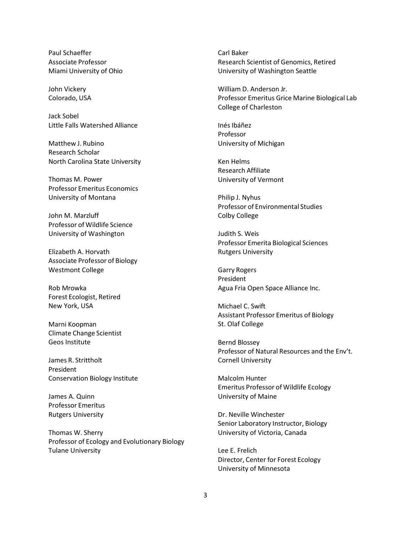Paul Schaeffer Associate Professor Miami University of Ohio

John Vickery Colorado, USA

Jack Sobel Little Falls Watershed Alliance

Matthew J. Rubino Research Scholar North Carolina State University

Thomas M. Power Professor Emeritus Economics University of Montana

John M. Marzluff Professor of Wildlife Science University of Washington

Elizabeth A. Horvath Associate Professor of Biology Westmont College

Rob Mrowka Forest Ecologist, Retired New York, USA

Marni Koopman Climate Change Scientist Geos Institute

James R. Strittholt President Conservation Biology Institute

James A. Quinn Professor Emeritus Rutgers University

Thomas W. Sherry Professor of Ecology and Evolutionary Biology Tulane University

Carl Baker Research Scientist of Genomics, Retired University of Washington Seattle

William D. Anderson Jr. Professor Emeritus Grice Marine Biological Lab College of Charleston

Inés Ibáñez Professor University of Michigan

Ken Helms Research Affiliate University of Vermont

Philip J. Nyhus Professor of Environmental Studies Colby College

Judith S. Weis Professor Emerita Biological Sciences Rutgers University

Garry Rogers President Agua Fria Open Space Alliance Inc.

Michael C. Swift Assistant Professor Emeritus of Biology St. Olaf College

Bernd Blossey Professor of Natural Resources and the Env't. Cornell University

Malcolm Hunter Emeritus Professor of Wildlife Ecology University of Maine

Dr. Neville Winchester Senior Laboratory Instructor, Biology University of Victoria, Canada

Lee E. Frelich Director, Center for Forest Ecology University of Minnesota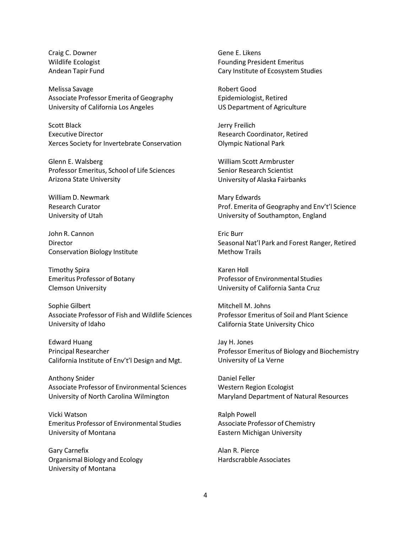Craig C. Downer Wildlife Ecologist Andean Tapir Fund

Melissa Savage Associate Professor Emerita of Geography University of California Los Angeles

Scott Black Executive Director Xerces Society for Invertebrate Conservation

Glenn E. Walsberg Professor Emeritus, School of Life Sciences Arizona State University

William D. Newmark Research Curator University of Utah

John R. Cannon Director Conservation Biology Institute

Timothy Spira Emeritus Professor of Botany Clemson University

Sophie Gilbert Associate Professor of Fish and Wildlife Sciences University of Idaho

Edward Huang Principal Researcher California Institute of Env't'l Design and Mgt.

Anthony Snider Associate Professor of Environmental Sciences University of North Carolina Wilmington

Vicki Watson Emeritus Professor of Environmental Studies University of Montana

Gary Carnefix Organismal Biology and Ecology University of Montana

Gene E. Likens Founding President Emeritus Cary Institute of Ecosystem Studies

Robert Good Epidemiologist, Retired US Department of Agriculture

Jerry Freilich Research Coordinator, Retired Olympic National Park

William Scott Armbruster Senior Research Scientist University of Alaska Fairbanks

Mary Edwards Prof. Emerita of Geography and Env't'l Science University of Southampton, England

Eric Burr Seasonal Nat'l Park and Forest Ranger, Retired Methow Trails

Karen Holl Professor of Environmental Studies University of California Santa Cruz

Mitchell M. Johns Professor Emeritus of Soil and Plant Science California State University Chico

Jay H. Jones Professor Emeritus of Biology and Biochemistry University of La Verne

Daniel Feller Western Region Ecologist Maryland Department of Natural Resources

Ralph Powell Associate Professor of Chemistry Eastern Michigan University

Alan R. Pierce Hardscrabble Associates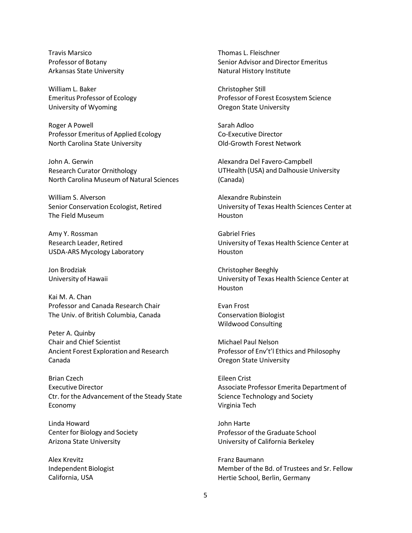Travis Marsico Professor of Botany Arkansas State University

William L. Baker Emeritus Professor of Ecology University of Wyoming

Roger A Powell Professor Emeritus of Applied Ecology North Carolina State University

John A. Gerwin Research Curator Ornithology North Carolina Museum of Natural Sciences

William S. Alverson Senior Conservation Ecologist, Retired The Field Museum

Amy Y. Rossman Research Leader, Retired USDA-ARS Mycology Laboratory

Jon Brodziak University of Hawaii

Kai M. A. Chan Professor and Canada Research Chair The Univ. of British Columbia, Canada

Peter A. Quinby Chair and Chief Scientist Ancient Forest Exploration and Research Canada

Brian Czech Executive Director Ctr. for the Advancement of the Steady State Economy

Linda Howard Center for Biology and Society Arizona State University

Alex Krevitz Independent Biologist California, USA

Thomas L. Fleischner Senior Advisor and Director Emeritus Natural History Institute

Christopher Still Professor of Forest Ecosystem Science Oregon State University

Sarah Adloo Co-Executive Director Old-Growth Forest Network

Alexandra Del Favero-Campbell UTHealth (USA) and Dalhousie University (Canada)

Alexandre Rubinstein University of Texas Health Sciences Center at **Houston** 

Gabriel Fries University of Texas Health Science Center at Houston

Christopher Beeghly University of Texas Health Science Center at **Houston** 

Evan Frost Conservation Biologist Wildwood Consulting

Michael Paul Nelson Professor of Env't'l Ethics and Philosophy Oregon State University

Eileen Crist Associate Professor Emerita Department of Science Technology and Society Virginia Tech

John Harte Professor of the Graduate School University of California Berkeley

Franz Baumann Member of the Bd. of Trustees and Sr. Fellow Hertie School, Berlin, Germany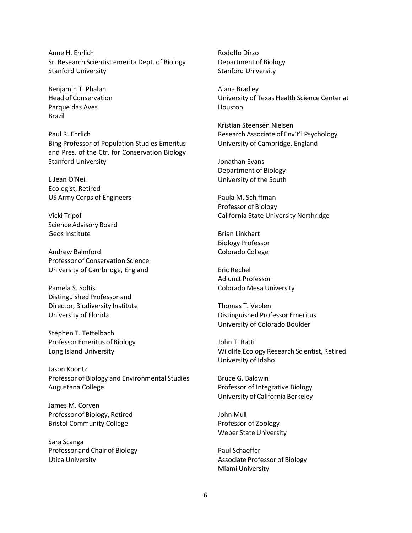Anne H. Ehrlich Sr. Research Scientist emerita Dept. of Biology Stanford University

Benjamin T. Phalan Head of Conservation Parque das Aves Brazil

Paul R. Ehrlich Bing Professor of Population Studies Emeritus and Pres. of the Ctr. for Conservation Biology Stanford University

L Jean O'Neil Ecologist, Retired US Army Corps of Engineers

Vicki Tripoli Science Advisory Board Geos Institute

Andrew Balmford Professor of Conservation Science University of Cambridge, England

Pamela S. Soltis Distinguished Professor and Director, Biodiversity Institute University of Florida

Stephen T. Tettelbach Professor Emeritus of Biology Long Island University

Jason Koontz Professor of Biology and Environmental Studies Augustana College

James M. Corven Professor of Biology, Retired Bristol Community College

Sara Scanga Professor and Chair of Biology Utica University

Rodolfo Dirzo Department of Biology Stanford University

Alana Bradley University of Texas Health Science Center at Houston

Kristian Steensen Nielsen Research Associate of Env't'l Psychology University of Cambridge, England

Jonathan Evans Department of Biology University of the South

Paula M. Schiffman Professor of Biology California State University Northridge

Brian Linkhart Biology Professor Colorado College

Eric Rechel Adjunct Professor Colorado Mesa University

Thomas T. Veblen Distinguished Professor Emeritus University of Colorado Boulder

John T. Ratti Wildlife Ecology Research Scientist, Retired University of Idaho

Bruce G. Baldwin Professor of Integrative Biology University of California Berkeley

John Mull Professor of Zoology Weber State University

Paul Schaeffer Associate Professor of Biology Miami University